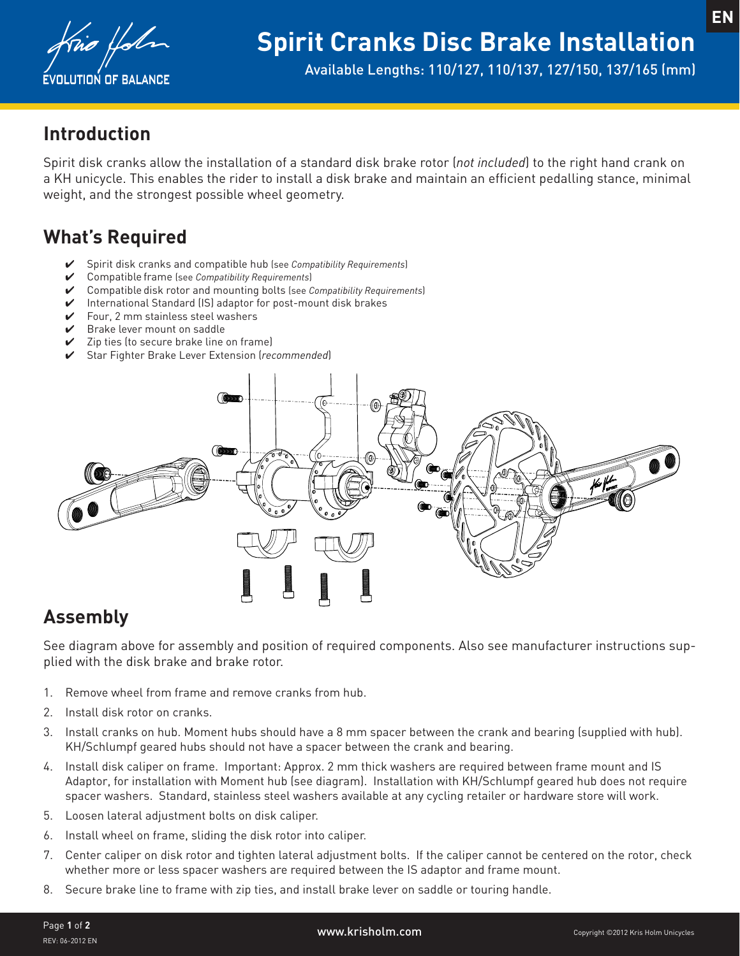

Available Lengths: 110/127, 110/137, 127/150, 137/165 (mm)

## **Introduction**

Spirit disk cranks allow the installation of a standard disk brake rotor (*not included*) to the right hand crank on a KH unicycle. This enables the rider to install a disk brake and maintain an efficient pedalling stance, minimal weight, and the strongest possible wheel geometry.

# **What's Required**

- ✔ Spirit disk cranks and compatible hub (see *Compatibility Requirements*)
- ✔ Compatible frame (see *Compatibility Requirements*)
- ✔ Compatible disk rotor and mounting bolts (see *Compatibility Requirements*)
- ✔ International Standard (IS) adaptor for post-mount disk brakes
- $\checkmark$  Four. 2 mm stainless steel washers
- $\triangleright$  Brake lever mount on saddle
- ✔ Zip ties (to secure brake line on frame)
- ✔ Star Fighter Brake Lever Extension (*recommended*)



### **Assembly**

See diagram above for assembly and position of required components. Also see manufacturer instructions supplied with the disk brake and brake rotor.

- 1. Remove wheel from frame and remove cranks from hub.
- 2. Install disk rotor on cranks.
- 3. Install cranks on hub. Moment hubs should have a 8 mm spacer between the crank and bearing (supplied with hub). KH/Schlumpf geared hubs should not have a spacer between the crank and bearing.
- 4. Install disk caliper on frame. Important: Approx. 2 mm thick washers are required between frame mount and IS Adaptor, for installation with Moment hub (see diagram). Installation with KH/Schlumpf geared hub does not require spacer washers. Standard, stainless steel washers available at any cycling retailer or hardware store will work.
- 5. Loosen lateral adjustment bolts on disk caliper.
- 6. Install wheel on frame, sliding the disk rotor into caliper.
- 7. Center caliper on disk rotor and tighten lateral adjustment bolts. If the caliper cannot be centered on the rotor, check whether more or less spacer washers are required between the IS adaptor and frame mount.
- 8. Secure brake line to frame with zip ties, and install brake lever on saddle or touring handle.